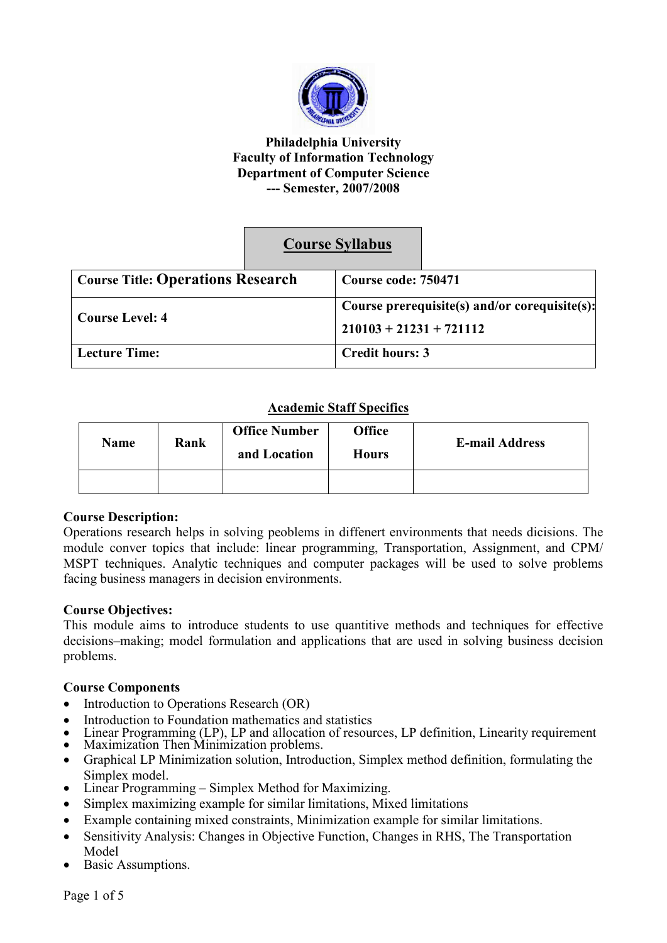

#### **Philadelphia University Faculty of Information Technology Department of Computer Science --- Semester, 2007/2008**

# **Course Syllabus**

| <b>Course Title: Operations Research</b> | Course code: 750471                           |  |
|------------------------------------------|-----------------------------------------------|--|
|                                          | Course prerequisite(s) and/or corequisite(s): |  |
| <b>Course Level: 4</b>                   | $210103 + 21231 + 721112$                     |  |
| <b>Lecture Time:</b>                     | <b>Credit hours: 3</b>                        |  |

## **Academic Staff Specifics**

| <b>Name</b> | Rank | <b>Office Number</b><br>and Location | <b>Office</b><br><b>Hours</b> | <b>E-mail Address</b> |
|-------------|------|--------------------------------------|-------------------------------|-----------------------|
|             |      |                                      |                               |                       |

### **Course Description:**

Operations research helps in solving peoblems in diffenert environments that needs dicisions. The module conver topics that include: linear programming, Transportation, Assignment, and CPM/ MSPT techniques. Analytic techniques and computer packages will be used to solve problems facing business managers in decision environments.

### **Course Objectives:**

This module aims to introduce students to use quantitive methods and techniques for effective decisions–making; model formulation and applications that are used in solving business decision problems.

### **Course Components**

- Introduction to Operations Research (OR)
- Introduction to Foundation mathematics and statistics
- Linear Programming (LP), LP and allocation of resources, LP definition, Linearity requirement
- Maximization Then Minimization problems.
- Graphical LP Minimization solution, Introduction, Simplex method definition, formulating the Simplex model.
- Linear Programming Simplex Method for Maximizing.
- Simplex maximizing example for similar limitations, Mixed limitations
- Example containing mixed constraints, Minimization example for similar limitations.
- Sensitivity Analysis: Changes in Objective Function, Changes in RHS, The Transportation Model
- Basic Assumptions.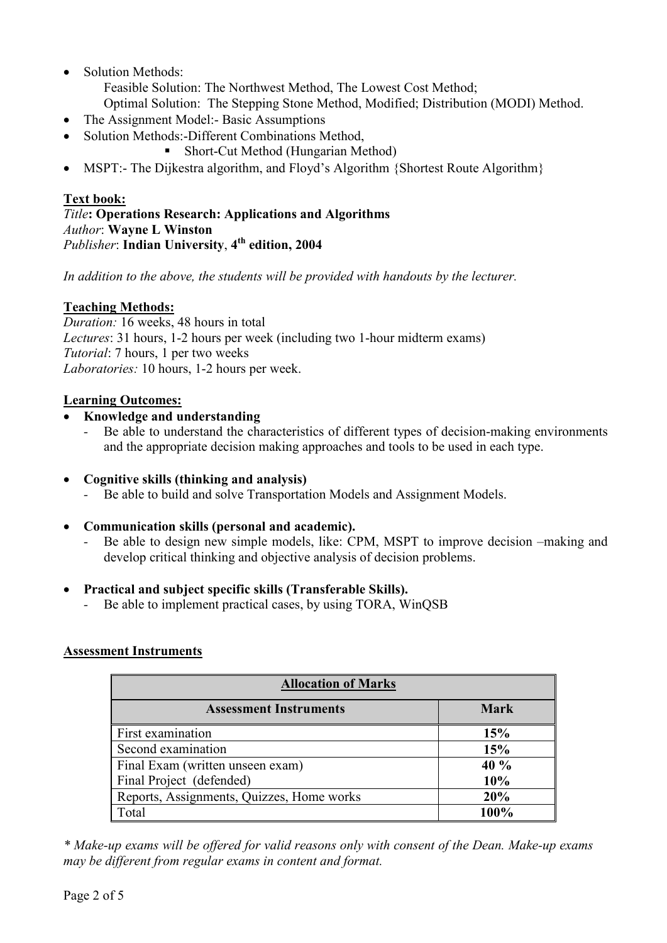• Solution Methods:

Feasible Solution: The Northwest Method, The Lowest Cost Method;

- Optimal Solution: The Stepping Stone Method, Modified; Distribution (MODI) Method.
- The Assignment Model: Basic Assumptions
- Solution Methods: -Different Combinations Method,
	- Short-Cut Method (Hungarian Method)
- MSPT:- The Dijkestra algorithm, and Floyd's Algorithm {Shortest Route Algorithm}

# **Text book:**

### *Title***: Operations Research: Applications and Algorithms**  *Author*: **Wayne L Winston**  *Publisher*: **Indian University**, **4 th edition, 2004**

*In addition to the above, the students will be provided with handouts by the lecturer.* 

# **Teaching Methods:**

*Duration:* 16 weeks, 48 hours in total *Lectures*: 31 hours, 1-2 hours per week (including two 1-hour midterm exams) *Tutorial*: 7 hours, 1 per two weeks *Laboratories:* 10 hours, 1-2 hours per week.

## **Learning Outcomes:**

- **Knowledge and understanding** 
	- Be able to understand the characteristics of different types of decision-making environments and the appropriate decision making approaches and tools to be used in each type.
- **Cognitive skills (thinking and analysis)** 
	- *-* Be able to build and solve Transportation Models and Assignment Models.
- **Communication skills (personal and academic).** 
	- Be able to design new simple models, like: CPM, MSPT to improve decision –making and develop critical thinking and objective analysis of decision problems.

## • **Practical and subject specific skills (Transferable Skills).**

*-* Be able to implement practical cases, by using TORA, WinQSB

## **Assessment Instruments**

| <b>Allocation of Marks</b>                |             |  |  |
|-------------------------------------------|-------------|--|--|
| <b>Assessment Instruments</b>             | <b>Mark</b> |  |  |
| First examination                         | 15%         |  |  |
| Second examination                        | 15%         |  |  |
| Final Exam (written unseen exam)          | 40%         |  |  |
| Final Project (defended)                  | 10%         |  |  |
| Reports, Assignments, Quizzes, Home works | 20%         |  |  |
| Total                                     | 100%        |  |  |

*\* Make-up exams will be offered for valid reasons only with consent of the Dean. Make-up exams may be different from regular exams in content and format.*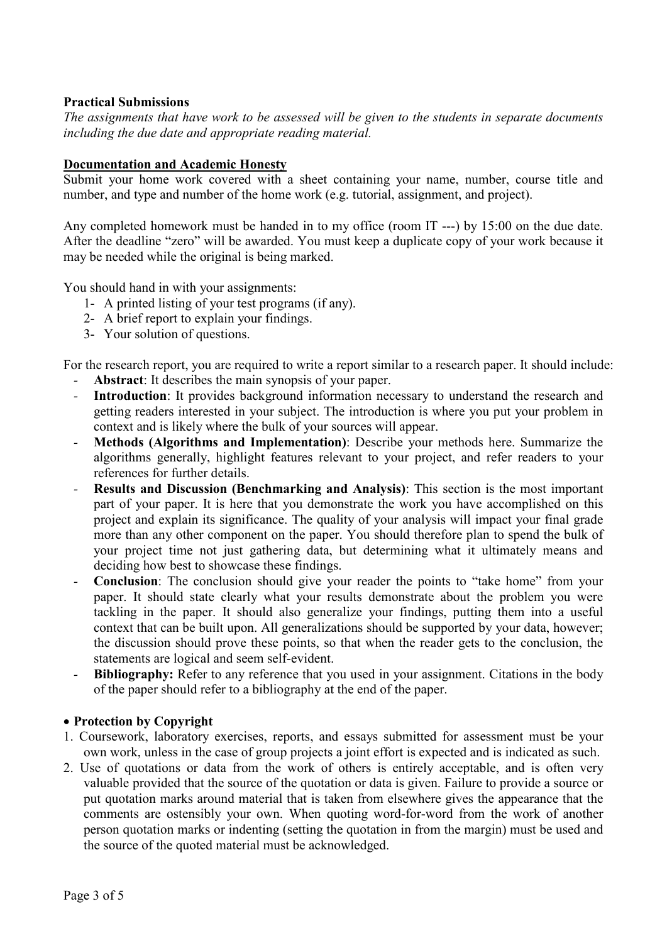#### **Practical Submissions**

*The assignments that have work to be assessed will be given to the students in separate documents including the due date and appropriate reading material.* 

#### **Documentation and Academic Honesty**

Submit your home work covered with a sheet containing your name, number, course title and number, and type and number of the home work (e.g. tutorial, assignment, and project).

Any completed homework must be handed in to my office (room IT ---) by 15:00 on the due date. After the deadline "zero" will be awarded. You must keep a duplicate copy of your work because it may be needed while the original is being marked.

You should hand in with your assignments:

- 1- A printed listing of your test programs (if any).
- 2- A brief report to explain your findings.
- 3- Your solution of questions.

For the research report, you are required to write a report similar to a research paper. It should include:

- *-* **Abstract**: It describes the main synopsis of your paper.
- **Introduction**: It provides background information necessary to understand the research and getting readers interested in your subject. The introduction is where you put your problem in context and is likely where the bulk of your sources will appear.
- *-* **Methods (Algorithms and Implementation)**: Describe your methods here. Summarize the algorithms generally, highlight features relevant to your project, and refer readers to your references for further details.
- **Results and Discussion (Benchmarking and Analysis):** This section is the most important part of your paper. It is here that you demonstrate the work you have accomplished on this project and explain its significance. The quality of your analysis will impact your final grade more than any other component on the paper. You should therefore plan to spend the bulk of your project time not just gathering data, but determining what it ultimately means and deciding how best to showcase these findings.
- *-* **Conclusion**: The conclusion should give your reader the points to "take home" from your paper. It should state clearly what your results demonstrate about the problem you were tackling in the paper. It should also generalize your findings, putting them into a useful context that can be built upon. All generalizations should be supported by your data, however; the discussion should prove these points, so that when the reader gets to the conclusion, the statements are logical and seem self-evident.
- *-* **Bibliography:** Refer to any reference that you used in your assignment. Citations in the body of the paper should refer to a bibliography at the end of the paper.

#### • **Protection by Copyright**

- 1. Coursework, laboratory exercises, reports, and essays submitted for assessment must be your own work, unless in the case of group projects a joint effort is expected and is indicated as such.
- 2. Use of quotations or data from the work of others is entirely acceptable, and is often very valuable provided that the source of the quotation or data is given. Failure to provide a source or put quotation marks around material that is taken from elsewhere gives the appearance that the comments are ostensibly your own. When quoting word-for-word from the work of another person quotation marks or indenting (setting the quotation in from the margin) must be used and the source of the quoted material must be acknowledged.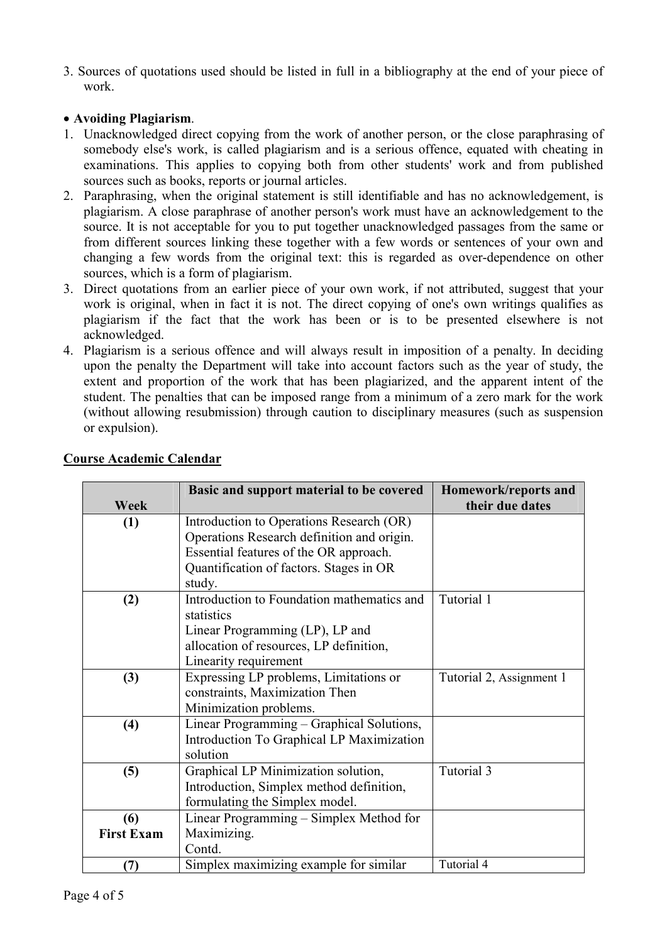3. Sources of quotations used should be listed in full in a bibliography at the end of your piece of work.

### • **Avoiding Plagiarism**.

- 1. Unacknowledged direct copying from the work of another person, or the close paraphrasing of somebody else's work, is called plagiarism and is a serious offence, equated with cheating in examinations. This applies to copying both from other students' work and from published sources such as books, reports or journal articles.
- 2. Paraphrasing, when the original statement is still identifiable and has no acknowledgement, is plagiarism. A close paraphrase of another person's work must have an acknowledgement to the source. It is not acceptable for you to put together unacknowledged passages from the same or from different sources linking these together with a few words or sentences of your own and changing a few words from the original text: this is regarded as over-dependence on other sources, which is a form of plagiarism.
- 3. Direct quotations from an earlier piece of your own work, if not attributed, suggest that your work is original, when in fact it is not. The direct copying of one's own writings qualifies as plagiarism if the fact that the work has been or is to be presented elsewhere is not acknowledged.
- 4. Plagiarism is a serious offence and will always result in imposition of a penalty. In deciding upon the penalty the Department will take into account factors such as the year of study, the extent and proportion of the work that has been plagiarized, and the apparent intent of the student. The penalties that can be imposed range from a minimum of a zero mark for the work (without allowing resubmission) through caution to disciplinary measures (such as suspension or expulsion).

|                   | Basic and support material to be covered<br>Homework/reports and |                          |
|-------------------|------------------------------------------------------------------|--------------------------|
| <b>Week</b>       |                                                                  | their due dates          |
| (1)               | Introduction to Operations Research (OR)                         |                          |
|                   | Operations Research definition and origin.                       |                          |
|                   | Essential features of the OR approach.                           |                          |
|                   | Quantification of factors. Stages in OR                          |                          |
|                   | study.                                                           |                          |
| (2)               | Introduction to Foundation mathematics and                       | Tutorial 1               |
|                   | statistics                                                       |                          |
|                   | Linear Programming (LP), LP and                                  |                          |
|                   | allocation of resources, LP definition,                          |                          |
|                   | Linearity requirement                                            |                          |
| (3)               | Expressing LP problems, Limitations or                           | Tutorial 2, Assignment 1 |
|                   | constraints, Maximization Then                                   |                          |
|                   | Minimization problems.                                           |                          |
| (4)               | Linear Programming – Graphical Solutions,                        |                          |
|                   | Introduction To Graphical LP Maximization                        |                          |
|                   | solution                                                         |                          |
| (5)               | Graphical LP Minimization solution,                              | Tutorial 3               |
|                   | Introduction, Simplex method definition,                         |                          |
|                   | formulating the Simplex model.                                   |                          |
| (6)               | Linear Programming – Simplex Method for                          |                          |
| <b>First Exam</b> | Maximizing.                                                      |                          |
|                   | Contd.                                                           |                          |
| (7)               | Simplex maximizing example for similar                           | Tutorial 4               |

### **Course Academic Calendar**